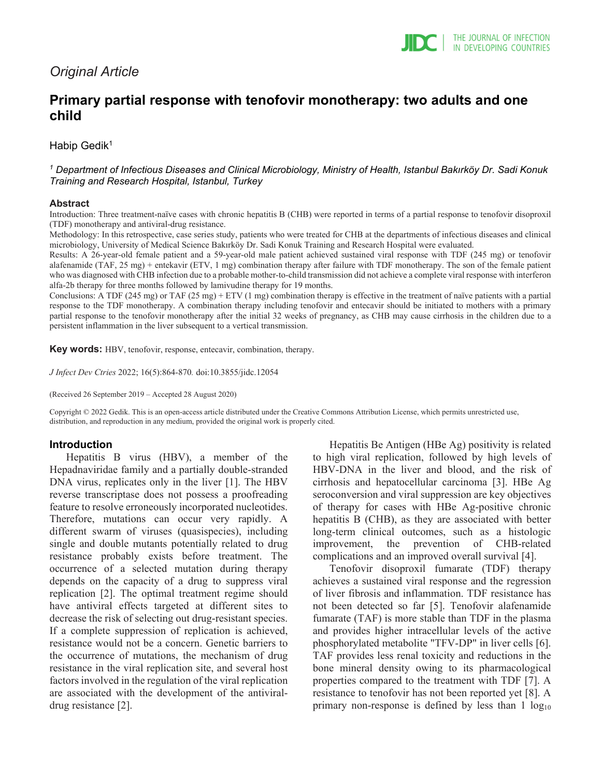# *Original Article*

# **Primary partial response with tenofovir monotherapy: two adults and one child**

Habip Gedik<sup>1</sup>

*<sup>1</sup> Department of Infectious Diseases and Clinical Microbiology, Ministry of Health, Istanbul Bakırköy Dr. Sadi Konuk Training and Research Hospital, Istanbul, Turkey*

### **Abstract**

Introduction: Three treatment-naïve cases with chronic hepatitis B (CHB) were reported in terms of a partial response to tenofovir disoproxil (TDF) monotherapy and antiviral-drug resistance.

Methodology: In this retrospective, case series study, patients who were treated for CHB at the departments of infectious diseases and clinical microbiology, University of Medical Science Bakırköy Dr. Sadi Konuk Training and Research Hospital were evaluated.

Results: A 26-year-old female patient and a 59-year-old male patient achieved sustained viral response with TDF (245 mg) or tenofovir alafenamide (TAF, 25 mg) + entekavir (ETV, 1 mg) combination therapy after failure with TDF monotherapy. The son of the female patient who was diagnosed with CHB infection due to a probable mother-to-child transmission did not achieve a complete viral response with interferon alfa-2b therapy for three months followed by lamivudine therapy for 19 months.

Conclusions: A TDF (245 mg) or TAF (25 mg) + ETV (1 mg) combination therapy is effective in the treatment of naïve patients with a partial response to the TDF monotherapy. A combination therapy including tenofovir and entecavir should be initiated to mothers with a primary partial response to the tenofovir monotherapy after the initial 32 weeks of pregnancy, as CHB may cause cirrhosis in the children due to a persistent inflammation in the liver subsequent to a vertical transmission.

**Key words:** HBV, tenofovir, response, entecavir, combination, therapy.

*J Infect Dev Ctries* 2022; 16(5):864-870*.* doi:10.3855/jidc.12054

(Received 26 September 2019 – Accepted 28 August 2020)

Copyright © 2022 Gedik. This is an open-access article distributed under the Creative Commons Attribution License, which permits unrestricted use, distribution, and reproduction in any medium, provided the original work is properly cited.

## **Introduction**

Hepatitis B virus (HBV), a member of the Hepadnaviridae family and a partially double-stranded DNA virus, replicates only in the liver [1]. The HBV reverse transcriptase does not possess a proofreading feature to resolve erroneously incorporated nucleotides. Therefore, mutations can occur very rapidly. A different swarm of viruses (quasispecies), including single and double mutants potentially related to drug resistance probably exists before treatment. The occurrence of a selected mutation during therapy depends on the capacity of a drug to suppress viral replication [2]. The optimal treatment regime should have antiviral effects targeted at different sites to decrease the risk of selecting out drug-resistant species. If a complete suppression of replication is achieved, resistance would not be a concern. Genetic barriers to the occurrence of mutations, the mechanism of drug resistance in the viral replication site, and several host factors involved in the regulation of the viral replication are associated with the development of the antiviraldrug resistance [2].

Hepatitis Be Antigen (HBe Ag) positivity is related to high viral replication, followed by high levels of HBV-DNA in the liver and blood, and the risk of cirrhosis and hepatocellular carcinoma [3]. HBe Ag seroconversion and viral suppression are key objectives of therapy for cases with HBe Ag-positive chronic hepatitis B (CHB), as they are associated with better long-term clinical outcomes, such as a histologic improvement, the prevention of CHB-related complications and an improved overall survival [4].

Tenofovir disoproxil fumarate (TDF) therapy achieves a sustained viral response and the regression of liver fibrosis and inflammation. TDF resistance has not been detected so far [5]. Tenofovir alafenamide fumarate (TAF) is more stable than TDF in the plasma and provides higher intracellular levels of the active phosphorylated metabolite "TFV-DP" in liver cells [6]. TAF provides less renal toxicity and reductions in the bone mineral density owing to its pharmacological properties compared to the treatment with TDF [7]. A resistance to tenofovir has not been reported yet [8]. A primary non-response is defined by less than  $1 \log_{10}$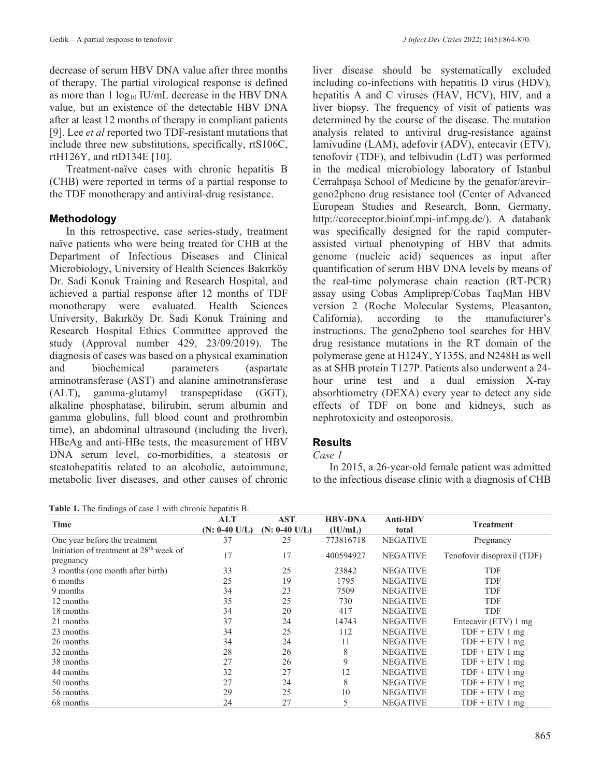decrease of serum HBV DNA value after three months of therapy. The partial virological response is defined as more than  $1 \log_{10}$  IU/mL decrease in the HBV DNA value, but an existence of the detectable HBV DNA after at least 12 months of therapy in compliant patients [9]. Lee *et al* reported two TDF-resistant mutations that include three new substitutions, specifically, rtS106C, rtH126Y, and rtD134E [10].

Treatment-naïve cases with chronic hepatitis B (CHB) were reported in terms of a partial response to the TDF monotherapy and antiviral-drug resistance.

# **Methodology**

In this retrospective, case series-study, treatment naïve patients who were being treated for CHB at the Department of Infectious Diseases and Clinical Microbiology, University of Health Sciences Bakırköy Dr. Sadi Konuk Training and Research Hospital, and achieved a partial response after 12 months of TDF monotherapy were evaluated. Health Sciences University, Bakırköy Dr. Sadi Konuk Training and Research Hospital Ethics Committee approved the study (Approval number 429, 23/09/2019). The diagnosis of cases was based on a physical examination and biochemical parameters (aspartate aminotransferase (AST) and alanine aminotransferase (ALT), gamma-glutamyl transpeptidase (GGT), alkaline phosphatase, bilirubin, serum albumin and gamma globulins, full blood count and prothrombin time), an abdominal ultrasound (including the liver), HBeAg and anti-HBe tests, the measurement of HBV DNA serum level, co-morbidities, a steatosis or steatohepatitis related to an alcoholic, autoimmune, metabolic liver diseases, and other causes of chronic

**Table 1.** The findings of case 1 with chronic hepatitis B.

liver disease should be systematically excluded including co-infections with hepatitis D virus (HDV), hepatitis A and C viruses (HAV, HCV), HIV, and a liver biopsy. The frequency of visit of patients was determined by the course of the disease. The mutation analysis related to antiviral drug-resistance against lamivudine (LAM), adefovir (ADV), entecavir (ETV), tenofovir (TDF), and telbivudin (LdT) was performed in the medical microbiology laboratory of Istanbul Cerrahpaşa School of Medicine by the genafor/arevir– geno2pheno drug resistance tool (Center of Advanced European Studies and Research, Bonn, Germany, http://coreceptor.bioinf.mpi-inf.mpg.de/). A databank was specifically designed for the rapid computerassisted virtual phenotyping of HBV that admits genome (nucleic acid) sequences as input after quantification of serum HBV DNA levels by means of the real-time polymerase chain reaction (RT-PCR) assay using Cobas Ampliprep/Cobas TaqMan HBV version 2 (Roche Molecular Systems, Pleasanton, California), according to the manufacturer's instructions. The geno2pheno tool searches for HBV drug resistance mutations in the RT domain of the polymerase gene at H124Y, Y135S, and N248H as well as at SHB protein T127P. Patients also underwent a 24 hour urine test and a dual emission X-ray absorbtiometry (DEXA) every year to detect any side effects of TDF on bone and kidneys, such as nephrotoxicity and osteoporosis.

# **Results**

## *Case 1*

In 2015, a 26-year-old female patient was admitted to the infectious disease clinic with a diagnosis of CHB

| <b>Table 1.</b> The findings of case 1 with enronic hepatitis B. |                   |                 |                |                 |                            |  |  |
|------------------------------------------------------------------|-------------------|-----------------|----------------|-----------------|----------------------------|--|--|
| <b>Time</b>                                                      | <b>AST</b><br>ALT |                 | <b>HBV-DNA</b> | <b>Anti-HDV</b> | <b>Treatment</b>           |  |  |
|                                                                  | $(N: 0-40 U/L)$   | $(N: 0-40 U/L)$ | (IU/mL)        | total           |                            |  |  |
| One year before the treatment                                    | 37                | 25              | 773816718      | <b>NEGATIVE</b> | Pregnancy                  |  |  |
| Initiation of treatment at 28 <sup>th</sup> week of              | 17                | 17              | 400594927      | <b>NEGATIVE</b> | Tenofovir disoproxil (TDF) |  |  |
| pregnancy                                                        |                   |                 |                |                 |                            |  |  |
| 3 months (one month after birth)                                 | 33                | 25              | 23842          | <b>NEGATIVE</b> | <b>TDF</b>                 |  |  |
| 6 months                                                         | 25                | 19              | 1795           | <b>NEGATIVE</b> | TDF                        |  |  |
| 9 months                                                         | 34                | 23              | 7509           | <b>NEGATIVE</b> | TDF                        |  |  |
| 12 months                                                        | 35                | 25              | 730            | <b>NEGATIVE</b> | <b>TDF</b>                 |  |  |
| 18 months                                                        | 34                | 20              | 417            | <b>NEGATIVE</b> | TDF                        |  |  |
| 21 months                                                        | 37                | 24              | 14743          | <b>NEGATIVE</b> | Entecavir (ETV) 1 mg       |  |  |
| 23 months                                                        | 34                | 25              | 112            | <b>NEGATIVE</b> | $TDF + ETV 1 mg$           |  |  |
| 26 months                                                        | 34                | 24              | 11             | <b>NEGATIVE</b> | $TDF + ETV1$ mg            |  |  |
| 32 months                                                        | 28                | 26              | 8              | <b>NEGATIVE</b> | $TDF + ETV1$ mg            |  |  |
| 38 months                                                        | 27                | 26              | 9              | <b>NEGATIVE</b> | $TDF + ETV1$ mg            |  |  |
| 44 months                                                        | 32                | 27              | 12             | <b>NEGATIVE</b> | $TDF + ETV1$ mg            |  |  |
| 50 months                                                        | 27                | 24              | 8              | <b>NEGATIVE</b> | $TDF + ETV1$ mg            |  |  |
| 56 months                                                        | 29                | 25              | 10             | <b>NEGATIVE</b> | $TDF + ETV1$ mg            |  |  |
| 68 months                                                        | 24                | 27              | 5              | <b>NEGATIVE</b> | $TDF + ETV1$ mg            |  |  |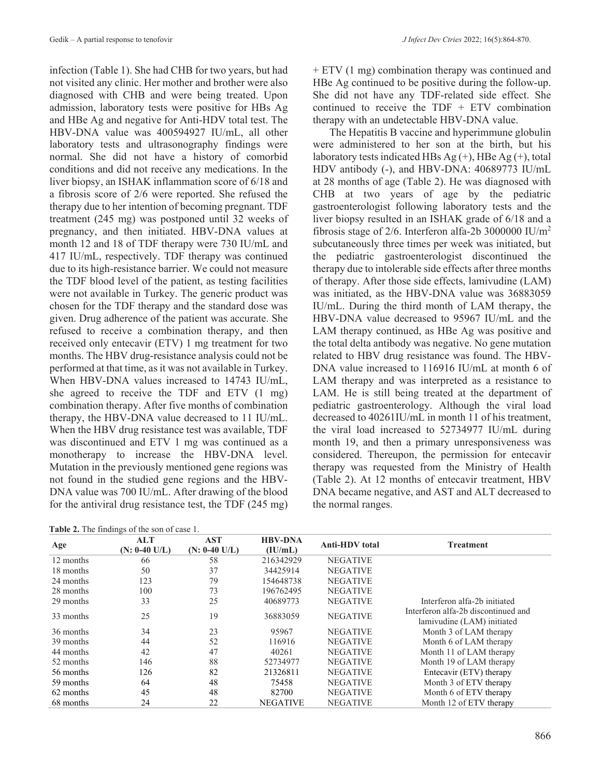infection (Table 1). She had CHB for two years, but had not visited any clinic. Her mother and brother were also diagnosed with CHB and were being treated. Upon admission, laboratory tests were positive for HBs Ag and HBe Ag and negative for Anti-HDV total test. The HBV-DNA value was 400594927 IU/mL, all other laboratory tests and ultrasonography findings were normal. She did not have a history of comorbid conditions and did not receive any medications. In the liver biopsy, an ISHAK inflammation score of 6/18 and a fibrosis score of 2/6 were reported. She refused the therapy due to her intention of becoming pregnant. TDF treatment (245 mg) was postponed until 32 weeks of pregnancy, and then initiated. HBV-DNA values at month 12 and 18 of TDF therapy were 730 IU/mL and 417 IU/mL, respectively. TDF therapy was continued due to its high-resistance barrier. We could not measure the TDF blood level of the patient, as testing facilities were not available in Turkey. The generic product was chosen for the TDF therapy and the standard dose was given. Drug adherence of the patient was accurate. She refused to receive a combination therapy, and then received only entecavir (ETV) 1 mg treatment for two months. The HBV drug-resistance analysis could not be performed at that time, as it was not available in Turkey. When HBV-DNA values increased to 14743 IU/mL, she agreed to receive the TDF and ETV (1 mg) combination therapy. After five months of combination therapy, the HBV-DNA value decreased to 11 IU/mL. When the HBV drug resistance test was available, TDF was discontinued and ETV 1 mg was continued as a monotherapy to increase the HBV-DNA level. Mutation in the previously mentioned gene regions was not found in the studied gene regions and the HBV-DNA value was 700 IU/mL. After drawing of the blood for the antiviral drug resistance test, the TDF (245 mg)

**Table 2.** The findings of the son of case 1.

+ ETV (1 mg) combination therapy was continued and HBe Ag continued to be positive during the follow-up. She did not have any TDF-related side effect. She continued to receive the TDF + ETV combination therapy with an undetectable HBV-DNA value.

The Hepatitis B vaccine and hyperimmune globulin were administered to her son at the birth, but his laboratory tests indicated HBs  $Ag (+)$ , HBe  $Ag (+)$ , total HDV antibody (-), and HBV-DNA: 40689773 IU/mL at 28 months of age (Table 2). He was diagnosed with CHB at two years of age by the pediatric gastroenterologist following laboratory tests and the liver biopsy resulted in an ISHAK grade of 6/18 and a fibrosis stage of 2/6. Interferon alfa-2b 3000000 IU/ $m<sup>2</sup>$ subcutaneously three times per week was initiated, but the pediatric gastroenterologist discontinued the therapy due to intolerable side effects after three months of therapy. After those side effects, lamivudine (LAM) was initiated, as the HBV-DNA value was 36883059 IU/mL. During the third month of LAM therapy, the HBV-DNA value decreased to 95967 IU/mL and the LAM therapy continued, as HBe Ag was positive and the total delta antibody was negative. No gene mutation related to HBV drug resistance was found. The HBV-DNA value increased to 116916 IU/mL at month 6 of LAM therapy and was interpreted as a resistance to LAM. He is still being treated at the department of pediatric gastroenterology. Although the viral load decreased to 40261IU/mL in month 11 of his treatment, the viral load increased to 52734977 IU/mL during month 19, and then a primary unresponsiveness was considered. Thereupon, the permission for entecavir therapy was requested from the Ministry of Health (Table 2). At 12 months of entecavir treatment, HBV DNA became negative, and AST and ALT decreased to the normal ranges.

|           | <b>FROICE.</b> The imenings of the son of ease 1. |                               |                           |                       |                                                                   |
|-----------|---------------------------------------------------|-------------------------------|---------------------------|-----------------------|-------------------------------------------------------------------|
| Age       | ALT<br>$(N: 0-40 U/L)$                            | <b>AST</b><br>$(N: 0-40 U/L)$ | <b>HBV-DNA</b><br>(IU/mL) | <b>Anti-HDV</b> total | <b>Treatment</b>                                                  |
| 12 months | 66                                                | 58                            | 216342929                 | <b>NEGATIVE</b>       |                                                                   |
| 18 months | 50                                                | 37                            | 34425914                  | <b>NEGATIVE</b>       |                                                                   |
| 24 months | 123                                               | 79                            | 154648738                 | <b>NEGATIVE</b>       |                                                                   |
| 28 months | 100                                               | 73                            | 196762495                 | <b>NEGATIVE</b>       |                                                                   |
| 29 months | 33                                                | 25                            | 40689773                  | <b>NEGATIVE</b>       | Interferon alfa-2b initiated                                      |
| 33 months | 25                                                | 19                            | 36883059                  | <b>NEGATIVE</b>       | Interferon alfa-2b discontinued and<br>lamivudine (LAM) initiated |
| 36 months | 34                                                | 23                            | 95967                     | <b>NEGATIVE</b>       | Month 3 of LAM therapy                                            |
| 39 months | 44                                                | 52                            | 116916                    | <b>NEGATIVE</b>       | Month 6 of LAM therapy                                            |
| 44 months | 42                                                | 47                            | 40261                     | <b>NEGATIVE</b>       | Month 11 of LAM therapy                                           |
| 52 months | 146                                               | 88                            | 52734977                  | <b>NEGATIVE</b>       | Month 19 of LAM therapy                                           |
| 56 months | 126                                               | 82                            | 21326811                  | <b>NEGATIVE</b>       | Entecavir (ETV) therapy                                           |
| 59 months | 64                                                | 48                            | 75458                     | <b>NEGATIVE</b>       | Month 3 of ETV therapy                                            |
| 62 months | 45                                                | 48                            | 82700                     | <b>NEGATIVE</b>       | Month 6 of ETV therapy                                            |
| 68 months | 24                                                | 22                            | <b>NEGATIVE</b>           | <b>NEGATIVE</b>       | Month 12 of ETV therapy                                           |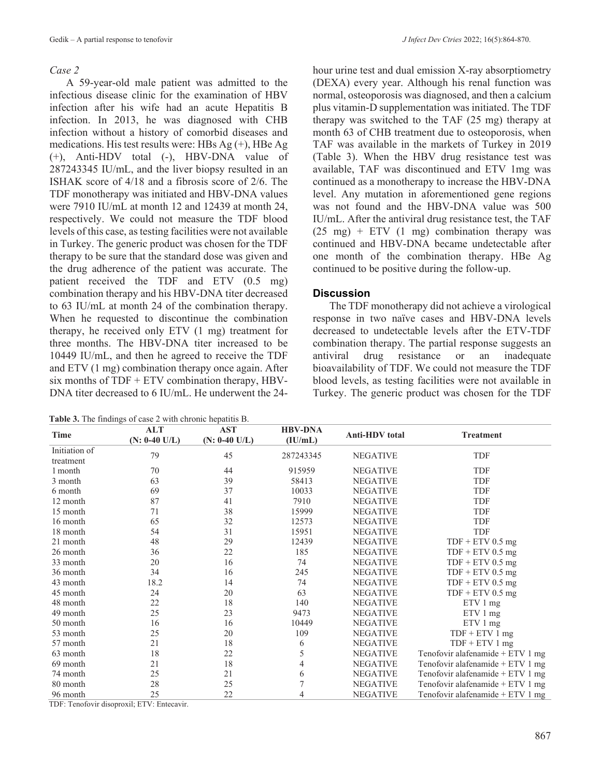#### *Case 2*

A 59-year-old male patient was admitted to the infectious disease clinic for the examination of HBV infection after his wife had an acute Hepatitis B infection. In 2013, he was diagnosed with CHB infection without a history of comorbid diseases and medications. His test results were: HBs Ag (+), HBe Ag (+), Anti-HDV total (-), HBV-DNA value of 287243345 IU/mL, and the liver biopsy resulted in an ISHAK score of 4/18 and a fibrosis score of 2/6. The TDF monotherapy was initiated and HBV-DNA values were 7910 IU/mL at month 12 and 12439 at month 24, respectively. We could not measure the TDF blood levels of this case, as testing facilities were not available in Turkey. The generic product was chosen for the TDF therapy to be sure that the standard dose was given and the drug adherence of the patient was accurate. The patient received the TDF and ETV (0.5 mg) combination therapy and his HBV-DNA titer decreased to 63 IU/mL at month 24 of the combination therapy. When he requested to discontinue the combination therapy, he received only ETV (1 mg) treatment for three months. The HBV-DNA titer increased to be 10449 IU/mL, and then he agreed to receive the TDF and ETV (1 mg) combination therapy once again. After six months of  $TDF + ETV$  combination therapy, HBV-DNA titer decreased to 6 IU/mL. He underwent the 24-

**Table 3.** The findings of case 2 with chronic hepatitis B.

hour urine test and dual emission X-ray absorptiometry (DEXA) every year. Although his renal function was normal, osteoporosis was diagnosed, and then a calcium plus vitamin-D supplementation was initiated. The TDF therapy was switched to the TAF (25 mg) therapy at month 63 of CHB treatment due to osteoporosis, when TAF was available in the markets of Turkey in 2019 (Table 3). When the HBV drug resistance test was available, TAF was discontinued and ETV 1mg was continued as a monotherapy to increase the HBV-DNA level. Any mutation in aforementioned gene regions was not found and the HBV-DNA value was 500 IU/mL. After the antiviral drug resistance test, the TAF  $(25 \text{ mg})$  + ETV  $(1 \text{ mg})$  combination therapy was continued and HBV-DNA became undetectable after one month of the combination therapy. HBe Ag continued to be positive during the follow-up.

## **Discussion**

The TDF monotherapy did not achieve a virological response in two naïve cases and HBV-DNA levels decreased to undetectable levels after the ETV-TDF combination therapy. The partial response suggests an antiviral drug resistance or an inadequate bioavailability of TDF. We could not measure the TDF blood levels, as testing facilities were not available in Turkey. The generic product was chosen for the TDF

| Time                       | <b>ALT</b><br>$(N: 0-40 U/L)$ | <b>AST</b><br>$(N: 0-40 U/L)$ | <b>HBV-DNA</b><br>(IU/mL) | <b>Anti-HDV</b> total | <b>Treatment</b>                   |
|----------------------------|-------------------------------|-------------------------------|---------------------------|-----------------------|------------------------------------|
| Initiation of<br>treatment | 79                            | 45                            | 287243345                 | <b>NEGATIVE</b>       | <b>TDF</b>                         |
| 1 month                    | 70                            | 44                            | 915959                    | <b>NEGATIVE</b>       | TDF                                |
| 3 month                    | 63                            | 39                            | 58413                     | <b>NEGATIVE</b>       | TDF                                |
| 6 month                    | 69                            | 37                            | 10033                     | <b>NEGATIVE</b>       | TDF                                |
| 12 month                   | 87                            | 41                            | 7910                      | <b>NEGATIVE</b>       | TDF                                |
| 15 month                   | 71                            | 38                            | 15999                     | <b>NEGATIVE</b>       | TDF                                |
| 16 month                   | 65                            | 32                            | 12573                     | <b>NEGATIVE</b>       | TDF                                |
| 18 month                   | 54                            | 31                            | 15951                     | <b>NEGATIVE</b>       | TDF                                |
| 21 month                   | 48                            | 29                            | 12439                     | <b>NEGATIVE</b>       | $TDF + ETV$ 0.5 mg                 |
| 26 month                   | 36                            | 22                            | 185                       | <b>NEGATIVE</b>       | $TDF + ETV 0.5 mg$                 |
| 33 month                   | 20                            | 16                            | 74                        | <b>NEGATIVE</b>       | $TDF + ETV 0.5 mg$                 |
| 36 month                   | 34                            | 16                            | 245                       | <b>NEGATIVE</b>       | $TDF + ETV$ 0.5 mg                 |
| 43 month                   | 18.2                          | 14                            | 74                        | <b>NEGATIVE</b>       | $TDF + ETV$ 0.5 mg                 |
| 45 month                   | 24                            | 20                            | 63                        | <b>NEGATIVE</b>       | $TDF + ETV$ 0.5 mg                 |
| 48 month                   | 22                            | 18                            | 140                       | <b>NEGATIVE</b>       | $ETV1$ mg                          |
| 49 month                   | 25                            | 23                            | 9473                      | <b>NEGATIVE</b>       | $ETV1$ mg                          |
| 50 month                   | 16                            | 16                            | 10449                     | <b>NEGATIVE</b>       | ETV 1 mg                           |
| 53 month                   | 25                            | 20                            | 109                       | <b>NEGATIVE</b>       | $TDF + ETV1$ mg                    |
| 57 month                   | 21                            | 18                            | 6                         | <b>NEGATIVE</b>       | $TDF + ETV1$ mg                    |
| 63 month                   | 18                            | 22                            | 5                         | <b>NEGATIVE</b>       | Tenofovir alafenamide + $ETV1$ mg  |
| 69 month                   | 21                            | 18                            | 4                         | <b>NEGATIVE</b>       | Tenofovir alafenamide $+ ETV 1 mg$ |
| 74 month                   | 25                            | 21                            | 6                         | <b>NEGATIVE</b>       | Tenofovir alafenamide + $ETV1$ mg  |
| 80 month                   | 28                            | 25                            | 7                         | <b>NEGATIVE</b>       | Tenofovir alafenamide + $ETV1$ mg  |
| 96 month                   | 25                            | 22                            | 4                         | <b>NEGATIVE</b>       | Tenofovir alafenamide + ETV 1 mg   |

TDF: Tenofovir disoproxil; ETV: Entecavir.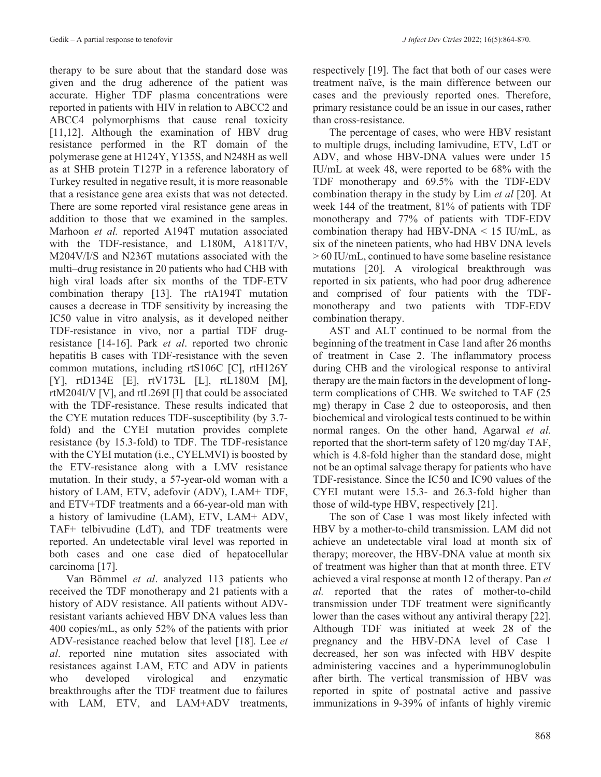therapy to be sure about that the standard dose was given and the drug adherence of the patient was accurate. Higher TDF plasma concentrations were reported in patients with HIV in relation to ABCC2 and ABCC4 polymorphisms that cause renal toxicity [11,12]. Although the examination of HBV drug resistance performed in the RT domain of the polymerase gene at H124Y, Y135S, and N248H as well as at SHB protein T127P in a reference laboratory of Turkey resulted in negative result, it is more reasonable that a resistance gene area exists that was not detected. There are some reported viral resistance gene areas in addition to those that we examined in the samples. Marhoon *et al.* reported A194T mutation associated with the TDF-resistance, and L180M, A181T/V, M204V/I/S and N236T mutations associated with the multi–drug resistance in 20 patients who had CHB with high viral loads after six months of the TDF-ETV combination therapy [13]. The rtA194T mutation causes a decrease in TDF sensitivity by increasing the IC50 value in vitro analysis, as it developed neither TDF-resistance in vivo, nor a partial TDF drugresistance [14-16]. Park *et al*. reported two chronic hepatitis B cases with TDF-resistance with the seven common mutations, including rtS106C [C], rtH126Y [Y], rtD134E [E], rtV173L [L], rtL180M [M], rtM204I/V [V], and rtL269I [I] that could be associated with the TDF-resistance. These results indicated that the CYE mutation reduces TDF-susceptibility (by 3.7 fold) and the CYEI mutation provides complete resistance (by 15.3-fold) to TDF. The TDF-resistance with the CYEI mutation (i.e., CYELMVI) is boosted by the ETV-resistance along with a LMV resistance mutation. In their study, a 57-year-old woman with a history of LAM, ETV, adefovir (ADV), LAM+ TDF, and ETV+TDF treatments and a 66-year-old man with a history of lamivudine (LAM), ETV, LAM+ ADV, TAF+ telbivudine (LdT), and TDF treatments were reported. An undetectable viral level was reported in both cases and one case died of hepatocellular carcinoma [17].

Van Bömmel *et al*. analyzed 113 patients who received the TDF monotherapy and 21 patients with a history of ADV resistance. All patients without ADVresistant variants achieved HBV DNA values less than 400 copies/mL, as only 52% of the patients with prior ADV-resistance reached below that level [18]. Lee *et al*. reported nine mutation sites associated with resistances against LAM, ETC and ADV in patients who developed virological and enzymatic breakthroughs after the TDF treatment due to failures with LAM, ETV, and LAM+ADV treatments, respectively [19]. The fact that both of our cases were treatment naïve, is the main difference between our cases and the previously reported ones. Therefore, primary resistance could be an issue in our cases, rather than cross-resistance.

The percentage of cases, who were HBV resistant to multiple drugs, including lamivudine, ETV, LdT or ADV, and whose HBV-DNA values were under 15 IU/mL at week 48, were reported to be 68% with the TDF monotherapy and 69.5% with the TDF-EDV combination therapy in the study by Lim *et al* [20]. At week 144 of the treatment, 81% of patients with TDF monotherapy and 77% of patients with TDF-EDV combination therapy had HBV-DNA  $\leq$  15 IU/mL, as six of the nineteen patients, who had HBV DNA levels > 60 IU/mL, continued to have some baseline resistance mutations [20]. A virological breakthrough was reported in six patients, who had poor drug adherence and comprised of four patients with the TDFmonotherapy and two patients with TDF-EDV combination therapy.

AST and ALT continued to be normal from the beginning of the treatment in Case 1and after 26 months of treatment in Case 2. The inflammatory process during CHB and the virological response to antiviral therapy are the main factors in the development of longterm complications of CHB. We switched to TAF (25 mg) therapy in Case 2 due to osteoporosis, and then biochemical and virological tests continued to be within normal ranges. On the other hand, Agarwal *et al.* reported that the short-term safety of 120 mg/day TAF, which is 4.8-fold higher than the standard dose, might not be an optimal salvage therapy for patients who have TDF-resistance. Since the IC50 and IC90 values of the CYEI mutant were 15.3- and 26.3-fold higher than those of wild-type HBV, respectively [21].

The son of Case 1 was most likely infected with HBV by a mother-to-child transmission. LAM did not achieve an undetectable viral load at month six of therapy; moreover, the HBV-DNA value at month six of treatment was higher than that at month three. ETV achieved a viral response at month 12 of therapy. Pan *et al.* reported that the rates of mother-to-child transmission under TDF treatment were significantly lower than the cases without any antiviral therapy [22]. Although TDF was initiated at week 28 of the pregnancy and the HBV-DNA level of Case 1 decreased, her son was infected with HBV despite administering vaccines and a hyperimmunoglobulin after birth. The vertical transmission of HBV was reported in spite of postnatal active and passive immunizations in 9-39% of infants of highly viremic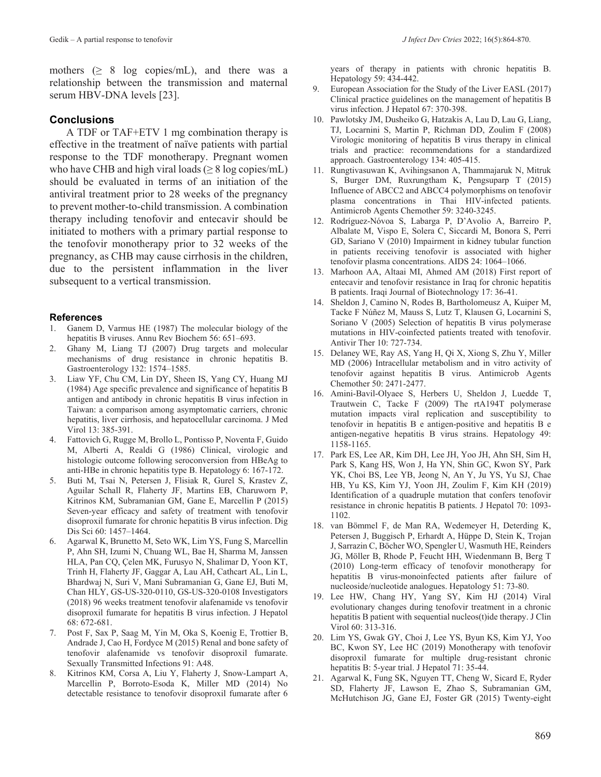mothers  $( \geq 8$  log copies/mL), and there was a relationship between the transmission and maternal serum HBV-DNA levels [23].

## **Conclusions**

A TDF or TAF+ETV 1 mg combination therapy is effective in the treatment of naïve patients with partial response to the TDF monotherapy. Pregnant women who have CHB and high viral loads ( $\geq 8$  log copies/mL) should be evaluated in terms of an initiation of the antiviral treatment prior to 28 weeks of the pregnancy to prevent mother-to-child transmission. A combination therapy including tenofovir and entecavir should be initiated to mothers with a primary partial response to the tenofovir monotherapy prior to 32 weeks of the pregnancy, as CHB may cause cirrhosis in the children, due to the persistent inflammation in the liver subsequent to a vertical transmission.

### **References**

- 1. Ganem D, Varmus HE (1987) The molecular biology of the hepatitis B viruses. Annu Rev Biochem 56: 651–693.
- 2. Ghany M, Liang TJ (2007) Drug targets and molecular mechanisms of drug resistance in chronic hepatitis B. Gastroenterology 132: 1574–1585.
- 3. Liaw YF, Chu CM, Lin DY, Sheen IS, Yang CY, Huang MJ (1984) Age specific prevalence and significance of hepatitis B antigen and antibody in chronic hepatitis B virus infection in Taiwan: a comparison among asymptomatic carriers, chronic hepatitis, liver cirrhosis, and hepatocellular carcinoma. J Med Virol 13: 385-391.
- 4. Fattovich G, Rugge M, Brollo L, Pontisso P, Noventa F, Guido M, Alberti A, Realdi G (1986) Clinical, virologic and histologic outcome following seroconversion from HBeAg to anti-HBe in chronic hepatitis type B. Hepatology 6: 167-172.
- 5. Buti M, Tsai N, Petersen J, Flisiak R, Gurel S, Krastev Z, Aguilar Schall R, Flaherty JF, Martins EB, Charuworn P, Kitrinos KM, Subramanian GM, Gane E, Marcellin P (2015) Seven-year efficacy and safety of treatment with tenofovir disoproxil fumarate for chronic hepatitis B virus infection. Dig Dis Sci 60: 1457–1464.
- 6. Agarwal K, Brunetto M, Seto WK, Lim YS, Fung S, Marcellin P, Ahn SH, Izumi N, Chuang WL, Bae H, Sharma M, Janssen HLA, Pan CQ, Çelen MK, Furusyo N, Shalimar D, Yoon KT, Trinh H, Flaherty JF, Gaggar A, Lau AH, Cathcart AL, Lin L, Bhardwaj N, Suri V, Mani Subramanian G, Gane EJ, Buti M, Chan HLY, GS-US-320-0110, GS-US-320-0108 Investigators (2018) 96 weeks treatment tenofovir alafenamide vs tenofovir disoproxil fumarate for hepatitis B virus infection. J Hepatol 68: 672-681.
- 7. Post F, Sax P, Saag M, Yin M, Oka S, Koenig E, Trottier B, Andrade J, Cao H, Fordyce M (2015) Renal and bone safety of tenofovir alafenamide vs tenofovir disoproxil fumarate. Sexually Transmitted Infections 91: A48.
- 8. Kitrinos KM, Corsa A, Liu Y, Flaherty J, Snow-Lampart A, Marcellin P, Borroto-Esoda K, Miller MD (2014) No detectable resistance to tenofovir disoproxil fumarate after 6

years of therapy in patients with chronic hepatitis B. Hepatology 59: 434-442.

- 9. European Association for the Study of the Liver EASL (2017) Clinical practice guidelines on the management of hepatitis B virus infection. J Hepatol 67: 370-398.
- 10. Pawlotsky JM, Dusheiko G, Hatzakis A, Lau D, Lau G, Liang, TJ, Locarnini S, Martin P, Richman DD, Zoulim F (2008) Virologic monitoring of hepatitis B virus therapy in clinical trials and practice: recommendations for a standardized approach. Gastroenterology 134: 405-415.
- 11. Rungtivasuwan K, Avihingsanon A, Thammajaruk N, Mitruk S, Burger DM, Ruxrungtham K, Pengsuparp T (2015) Influence of ABCC2 and ABCC4 polymorphisms on tenofovir plasma concentrations in Thai HIV-infected patients. Antimicrob Agents Chemother 59: 3240-3245.
- 12. Rodríguez-Nóvoa S, Labarga P, D'Avolio A, Barreiro P, Albalate M, Vispo E, Solera C, Siccardi M, Bonora S, Perri GD, Sariano V (2010) Impairment in kidney tubular function in patients receiving tenofovir is associated with higher tenofovir plasma concentrations. AIDS 24: 1064–1066.
- 13. Marhoon AA, Altaai MI, Ahmed AM (2018) First report of entecavir and tenofovir resistance in Iraq for chronic hepatitis B patients. Iraqi Journal of Biotechnology 17: 36-41.
- 14. Sheldon J, Camino N, Rodes B, Bartholomeusz A, Kuiper M, Tacke F Núñez M, Mauss S, Lutz T, Klausen G, Locarnini S, Soriano V (2005) Selection of hepatitis B virus polymerase mutations in HIV-coinfected patients treated with tenofovir. Antivir Ther 10: 727-734.
- 15. Delaney WE, Ray AS, Yang H, Qi X, Xiong S, Zhu Y, Miller MD (2006) Intracellular metabolism and in vitro activity of tenofovir against hepatitis B virus. Antimicrob Agents Chemother 50: 2471-2477.
- 16. Amini-Bavil-Olyaee S, Herbers U, Sheldon J, Luedde T, Trautwein C, Tacke F (2009) The rtA194T polymerase mutation impacts viral replication and susceptibility to tenofovir in hepatitis B e antigen-positive and hepatitis B e antigen-negative hepatitis B virus strains. Hepatology 49: 1158-1165.
- 17. Park ES, Lee AR, Kim DH, Lee JH, Yoo JH, Ahn SH, Sim H, Park S, Kang HS, Won J, Ha YN, Shin GC, Kwon SY, Park YK, Choi BS, Lee YB, Jeong N, An Y, Ju YS, Yu SJ, Chae HB, Yu KS, Kim YJ, Yoon JH, Zoulim F, Kim KH (2019) Identification of a quadruple mutation that confers tenofovir resistance in chronic hepatitis B patients. J Hepatol 70: 1093- 1102.
- 18. van Bömmel F, de Man RA, Wedemeyer H, Deterding K, Petersen J, Buggisch P, Erhardt A, Hüppe D, Stein K, Trojan J, Sarrazin C, Böcher WO, Spengler U, Wasmuth HE, Reinders JG, Möller B, Rhode P, Feucht HH, Wiedenmann B, Berg T (2010) Long-term efficacy of tenofovir monotherapy for hepatitis B virus-monoinfected patients after failure of nucleoside/nucleotide analogues. Hepatology 51: 73-80.
- 19. Lee HW, Chang HY, Yang SY, Kim HJ (2014) Viral evolutionary changes during tenofovir treatment in a chronic hepatitis B patient with sequential nucleos(t)ide therapy. J Clin Virol 60: 313-316.
- 20. Lim YS, Gwak GY, Choi J, Lee YS, Byun KS, Kim YJ, Yoo BC, Kwon SY, Lee HC (2019) Monotherapy with tenofovir disoproxil fumarate for multiple drug-resistant chronic hepatitis B: 5-year trial. J Hepatol 71: 35-44.
- 21. Agarwal K, Fung SK, Nguyen TT, Cheng W, Sicard E, Ryder SD, Flaherty JF, Lawson E, Zhao S, Subramanian GM, McHutchison JG, Gane EJ, Foster GR (2015) Twenty-eight